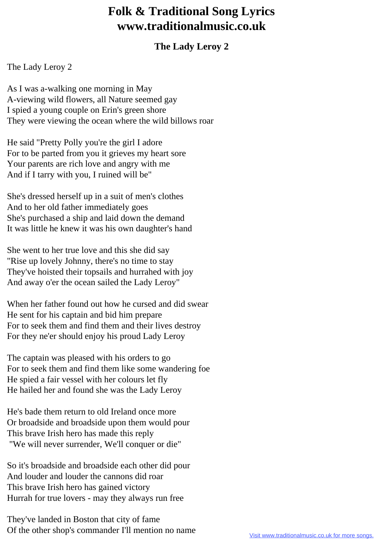## **Folk & Traditional Song Lyrics www.traditionalmusic.co.uk**

## **The Lady Leroy 2**

The Lady Leroy 2

As I was a-walking one morning in May A-viewing wild flowers, all Nature seemed gay I spied a young couple on Erin's green shore They were viewing the ocean where the wild billows roar

He said "Pretty Polly you're the girl I adore For to be parted from you it grieves my heart sore Your parents are rich love and angry with me And if I tarry with you, I ruined will be"

She's dressed herself up in a suit of men's clothes And to her old father immediately goes She's purchased a ship and laid down the demand It was little he knew it was his own daughter's hand

She went to her true love and this she did say "Rise up lovely Johnny, there's no time to stay They've hoisted their topsails and hurrahed with joy And away o'er the ocean sailed the Lady Leroy"

When her father found out how he cursed and did swear He sent for his captain and bid him prepare For to seek them and find them and their lives destroy For they ne'er should enjoy his proud Lady Leroy

The captain was pleased with his orders to go For to seek them and find them like some wandering foe He spied a fair vessel with her colours let fly He hailed her and found she was the Lady Leroy

He's bade them return to old Ireland once more Or broadside and broadside upon them would pour This brave Irish hero has made this reply "We will never surrender, We'll conquer or die"

So it's broadside and broadside each other did pour And louder and louder the cannons did roar This brave Irish hero has gained victory Hurrah for true lovers - may they always run free

They've landed in Boston that city of fame Of the other shop's commander I'll mention no name